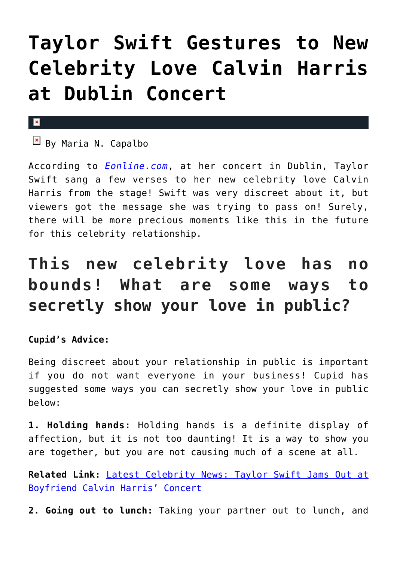## **[Taylor Swift Gestures to New](https://cupidspulse.com/94747/taylor-swift-gestures-new-celebrity-love-calvin-harris-dublin-concert/) [Celebrity Love Calvin Harris](https://cupidspulse.com/94747/taylor-swift-gestures-new-celebrity-love-calvin-harris-dublin-concert/) [at Dublin Concert](https://cupidspulse.com/94747/taylor-swift-gestures-new-celebrity-love-calvin-harris-dublin-concert/)**

## $\pmb{\times}$

 $\boxed{\times}$  By Maria N. Capalbo

According to *[Eonline.com](http://www.eonline.com/news/671845/calvin-harris-attends-taylor-swift-s-dublin-concert-and-singer-gestures-to-her-beau-from-stage-watch)*, at her concert in Dublin, Taylor Swift sang a few verses to her new celebrity love Calvin Harris from the stage! Swift was very discreet about it, but viewers got the message she was trying to pass on! Surely, there will be more precious moments like this in the future for this celebrity relationship.

## **This new celebrity love has no bounds! What are some ways to secretly show your love in public?**

## **Cupid's Advice:**

Being discreet about your relationship in public is important if you do not want everyone in your business! Cupid has suggested some ways you can secretly show your love in public below:

**1. Holding hands:** Holding hands is a definite display of affection, but it is not too daunting! It is a way to show you are together, but you are not causing much of a scene at all.

**Related Link:** [Latest Celebrity News: Taylor Swift Jams Out at](http://cupidspulse.com/92767/latest-celebrity-news-taylor-swift-calvin-harris/#3zhqUwZcOjDkJaBW.99) [Boyfriend Calvin Harris' Concert](http://cupidspulse.com/92767/latest-celebrity-news-taylor-swift-calvin-harris/#3zhqUwZcOjDkJaBW.99)

**2. Going out to lunch:** Taking your partner out to lunch, and